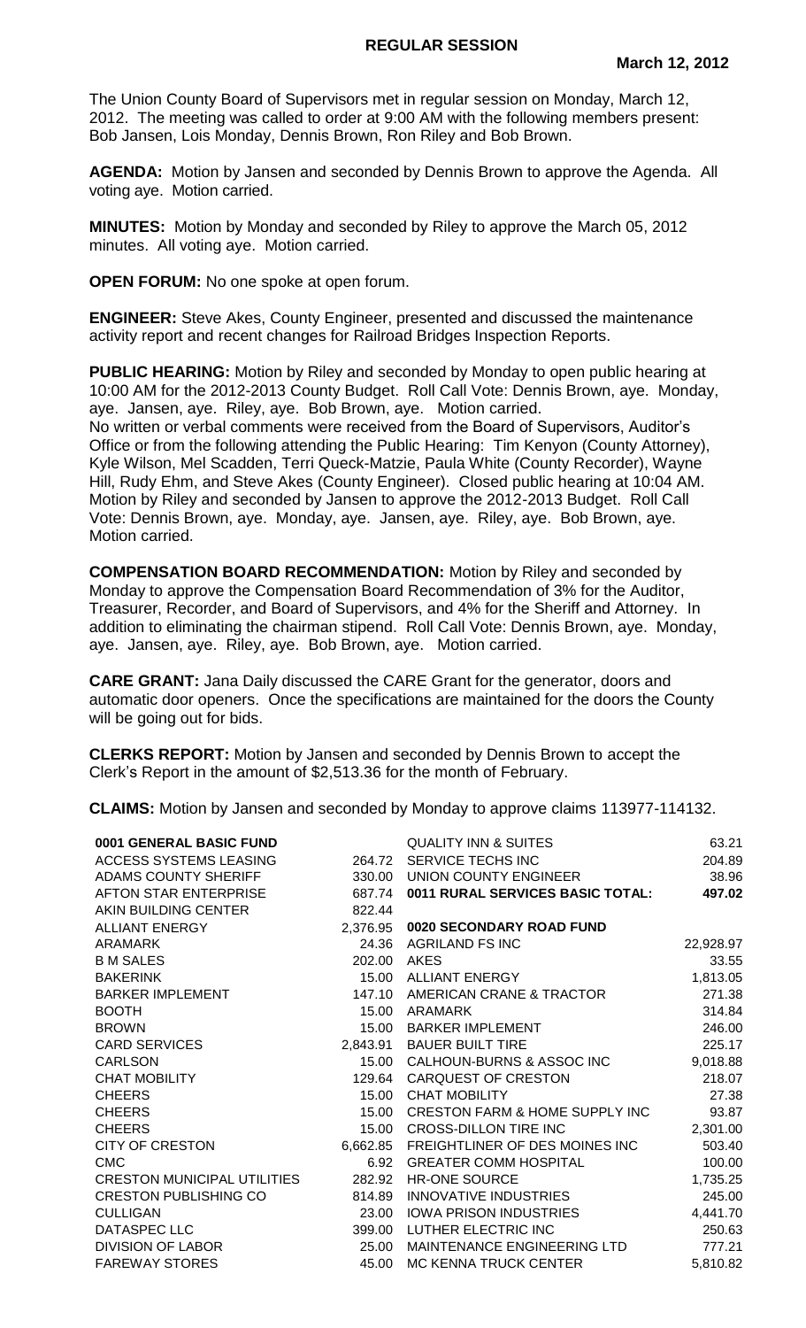The Union County Board of Supervisors met in regular session on Monday, March 12, 2012. The meeting was called to order at 9:00 AM with the following members present: Bob Jansen, Lois Monday, Dennis Brown, Ron Riley and Bob Brown.

**AGENDA:** Motion by Jansen and seconded by Dennis Brown to approve the Agenda. All voting aye. Motion carried.

**MINUTES:** Motion by Monday and seconded by Riley to approve the March 05, 2012 minutes. All voting aye. Motion carried.

**OPEN FORUM:** No one spoke at open forum.

**ENGINEER:** Steve Akes, County Engineer, presented and discussed the maintenance activity report and recent changes for Railroad Bridges Inspection Reports.

**PUBLIC HEARING:** Motion by Riley and seconded by Monday to open public hearing at 10:00 AM for the 2012-2013 County Budget. Roll Call Vote: Dennis Brown, aye. Monday, aye. Jansen, aye. Riley, aye. Bob Brown, aye. Motion carried.

No written or verbal comments were received from the Board of Supervisors, Auditor's Office or from the following attending the Public Hearing: Tim Kenyon (County Attorney), Kyle Wilson, Mel Scadden, Terri Queck-Matzie, Paula White (County Recorder), Wayne Hill, Rudy Ehm, and Steve Akes (County Engineer). Closed public hearing at 10:04 AM. Motion by Riley and seconded by Jansen to approve the 2012-2013 Budget. Roll Call Vote: Dennis Brown, aye. Monday, aye. Jansen, aye. Riley, aye. Bob Brown, aye. Motion carried.

**COMPENSATION BOARD RECOMMENDATION:** Motion by Riley and seconded by Monday to approve the Compensation Board Recommendation of 3% for the Auditor, Treasurer, Recorder, and Board of Supervisors, and 4% for the Sheriff and Attorney. In addition to eliminating the chairman stipend. Roll Call Vote: Dennis Brown, aye. Monday, aye. Jansen, aye. Riley, aye. Bob Brown, aye. Motion carried.

**CARE GRANT:** Jana Daily discussed the CARE Grant for the generator, doors and automatic door openers. Once the specifications are maintained for the doors the County will be going out for bids.

**CLERKS REPORT:** Motion by Jansen and seconded by Dennis Brown to accept the Clerk's Report in the amount of \$2,513.36 for the month of February.

**CLAIMS:** Motion by Jansen and seconded by Monday to approve claims 113977-114132.

| 0001 GENERAL BASIC FUND            |          | QUALITY INN & SUITES             | 63.21     |
|------------------------------------|----------|----------------------------------|-----------|
| ACCESS SYSTEMS LEASING             | 264.72   | SERVICE TECHS INC                | 204.89    |
| <b>ADAMS COUNTY SHERIFF</b>        | 330.00   | UNION COUNTY ENGINEER            | 38.96     |
| <b>AFTON STAR ENTERPRISE</b>       | 687.74   | 0011 RURAL SERVICES BASIC TOTAL: | 497.02    |
| AKIN BUILDING CENTER               | 822.44   |                                  |           |
| <b>ALLIANT ENERGY</b>              | 2,376.95 | 0020 SECONDARY ROAD FUND         |           |
| ARAMARK                            | 24.36    | AGRILAND FS INC                  | 22,928.97 |
| <b>B M SALES</b>                   | 202.00   | AKES                             | 33.55     |
| <b>BAKERINK</b>                    | 15.00    | <b>ALLIANT ENERGY</b>            | 1,813.05  |
| <b>BARKER IMPLEMENT</b>            | 147.10   | AMERICAN CRANE & TRACTOR         | 271.38    |
| <b>BOOTH</b>                       | 15.00    | <b>ARAMARK</b>                   | 314.84    |
| <b>BROWN</b>                       | 15.00    | <b>BARKER IMPLEMENT</b>          | 246.00    |
| <b>CARD SERVICES</b>               | 2,843.91 | <b>BAUER BUILT TIRE</b>          | 225.17    |
| <b>CARLSON</b>                     | 15.00    | CALHOUN-BURNS & ASSOC INC        | 9,018.88  |
| <b>CHAT MOBILITY</b>               | 129.64   | CARQUEST OF CRESTON              | 218.07    |
| <b>CHEERS</b>                      | 15.00    | <b>CHAT MOBILITY</b>             | 27.38     |
| <b>CHEERS</b>                      | 15.00    | CRESTON FARM & HOME SUPPLY INC   | 93.87     |
| <b>CHEERS</b>                      | 15.00    | <b>CROSS-DILLON TIRE INC</b>     | 2,301.00  |
| <b>CITY OF CRESTON</b>             | 6,662.85 | FREIGHTLINER OF DES MOINES INC   | 503.40    |
| <b>CMC</b>                         | 6.92     | <b>GREATER COMM HOSPITAL</b>     | 100.00    |
| <b>CRESTON MUNICIPAL UTILITIES</b> | 282.92   | <b>HR-ONE SOURCE</b>             | 1,735.25  |
| <b>CRESTON PUBLISHING CO</b>       | 814.89   | INNOVATIVE INDUSTRIES            | 245.00    |
| <b>CULLIGAN</b>                    | 23.00    | <b>IOWA PRISON INDUSTRIES</b>    | 4,441.70  |
| DATASPEC LLC                       | 399.00   | LUTHER ELECTRIC INC              | 250.63    |
| <b>DIVISION OF LABOR</b>           | 25.00    | MAINTENANCE ENGINEERING LTD      | 777.21    |
| <b>FAREWAY STORES</b>              | 45.00    | <b>MC KENNA TRUCK CENTER</b>     | 5,810.82  |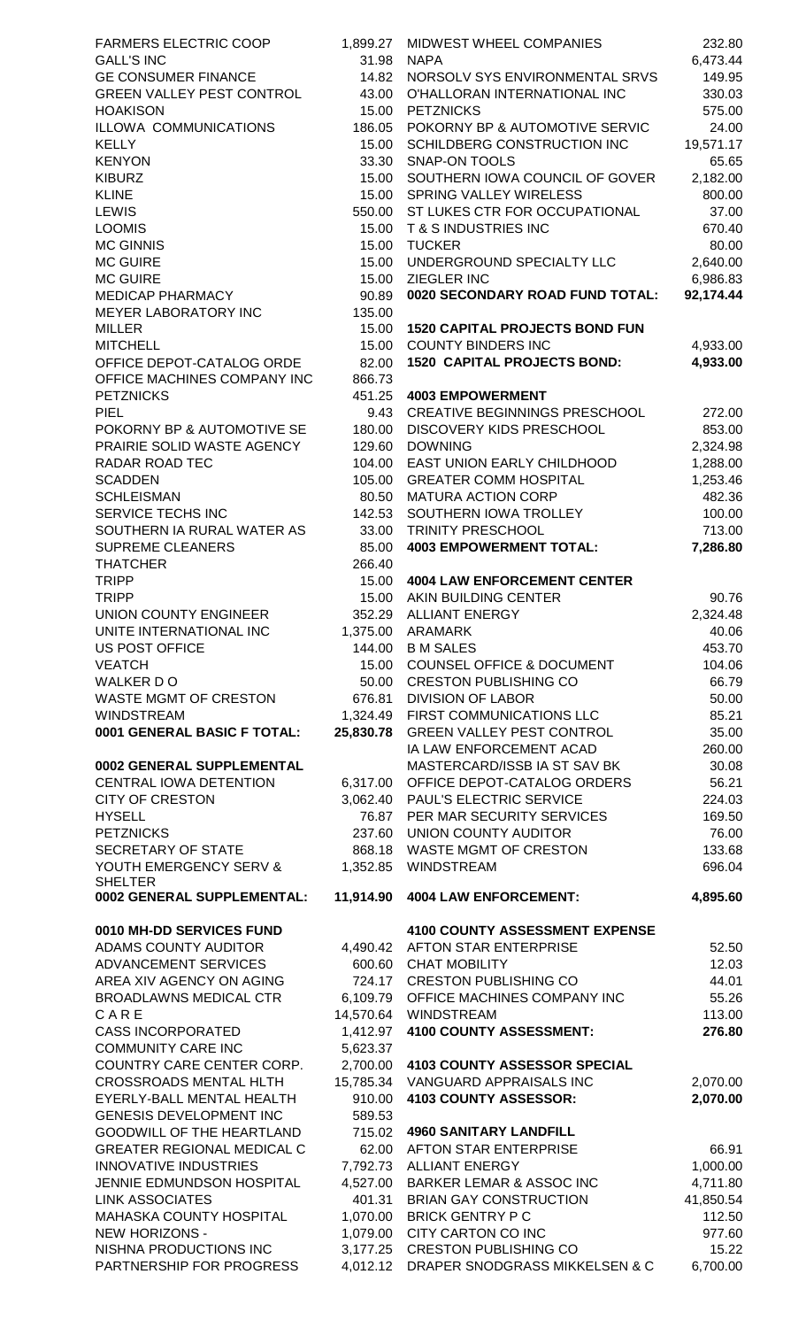FARMERS ELECTRIC COOP 1,899.27 MIDWEST WHEEL COMPANIES 232.80  $GALL'S INC$  6,473.44 GE CONSUMER FINANCE 14.82 NORSOLV SYS ENVIRONMENTAL SRVS 149.95 GREEN VALLEY PEST CONTROL 43.00 O'HALLORAN INTERNATIONAL INC 330.03 HOAKISON 15.00 PETZNICKS 575.00 ILLOWA COMMUNICATIONS 186.05 POKORNY BP & AUTOMOTIVE SERVIC 24.00 KELLY 19,571.17 KENYON 65.65 KIBURZ 15.00 SOUTHERN IOWA COUNCIL OF GOVER 2.182.00 KLINE 15.00 SPRING VALLEY WIRELESS 800.00 LEWIS 550.00 ST LUKES CTR FOR OCCUPATIONAL 37.00 LOOMIS 15.00 T & S INDUSTRIES INC 670.40 MC GINNIS 15.00 TUCKER 80.00 MC GUIRE 15.00 UNDERGROUND SPECIALTY LLC 2,640.00 MC GUIRE 15.00 ZIEGLER INC 6,986.83 MEDICAP PHARMACY 90.89 **0020 SECONDARY ROAD FUND TOTAL: 92,174.44**  MEYER LABORATORY INC 135.00 MILLER 15.00 **1520 CAPITAL PROJECTS BOND FUN** MITCHELL 15.00 COUNTY BINDERS INC 4,933.00 OFFICE DEPOT-CATALOG ORDE 82.00 **1520 CAPITAL PROJECTS BOND: 4,933.00** OFFICE MACHINES COMPANY INC 866.73 PETZNICKS 451.25 **4003 EMPOWERMENT** PIEL 9.43 CREATIVE BEGINNINGS PRESCHOOL 272.00 POKORNY BP & AUTOMOTIVE SE 180.00 DISCOVERY KIDS PRESCHOOL 853.00 PRAIRIE SOLID WASTE AGENCY 129.60 DOWNING 129.82 129.82 2,324.98 RADAR ROAD TEC 104.00 EAST UNION EARLY CHILDHOOD 1,288.00 SCADDEN 1,253.46 SCHLEISMAN 80.50 MATURA ACTION CORP 482.36 SERVICE TECHS INC **142.53 SOUTHERN IOWA TROLLEY** 100.00 SOUTHERN IA RURAL WATER AS 33.00 TRINITY PRESCHOOL 3713.00 SUPREME CLEANERS 85.00 **4003 EMPOWERMENT TOTAL: 7,286.80**  THATCHER 266.40 TRIPP 15.00 **4004 LAW ENFORCEMENT CENTER** TRIPP 15.00 AKIN BUILDING CENTER 90.76 UNION COUNTY ENGINEER 352.29 ALLIANT ENERGY 2,324.48 UNITE INTERNATIONAL INC  $1,375.00$  ARAMARK 40.06 US POST OFFICE 144.00 B M SALES 453.70 VEATCH 104.06 COUNSEL OFFICE & DOCUMENT 104.06 WALKER D O 66.79 WASTE MGMT OF CRESTON 676.81 DIVISION OF LABOR 60.00 WINDSTREAM 1,324.49 FIRST COMMUNICATIONS LLC 85.21 **0001 GENERAL BASIC F TOTAL: 25,830.78** GREEN VALLEY PEST CONTROL 35.00 **0002 GENERAL SUPPLEMENTAL MASTERCARD/ISSB IA ST SAV BK 30.08** CENTRAL IOWA DETENTION 6,317.00 OFFICE DEPOT-CATALOG ORDERS 56.21 CITY OF CRESTON 3,062.40 PAUL'S ELECTRIC SERVICE 224.03 HYSELL 169.50 PETZNICKS 237.60 UNION COUNTY AUDITOR 76.00 SECRETARY OF STATE 668.18 WASTE MGMT OF CRESTON 133.68 YOUTH EMERGENCY SERV & SHELTER **0002 GENERAL SUPPLEMENTAL: 11,914.90 4004 LAW ENFORCEMENT: 4,895.60 0010 MH-DD SERVICES FUND 4100 COUNTY ASSESSMENT EXPENSE** ADAMS COUNTY AUDITOR  $4,490.42$  AFTON STAR ENTERPRISE  $52.50$ ADVANCEMENT SERVICES 600.60 CHAT MOBILITY 12.03 AREA XIV AGENCY ON AGING 724.17 CRESTON PUBLISHING CO 44.01 BROADLAWNS MEDICAL CTR 6,109.79 OFFICE MACHINES COMPANY INC 55.26 C A R E 14,570.64 WINDSTREAM 113.00 CASS INCORPORATED 1,412.97 **4100 COUNTY ASSESSMENT: 276.80**  COMMUNITY CARE INC 5,623.37 COUNTRY CARE CENTER CORP. 2,700.00 **4103 COUNTY ASSESSOR SPECIAL** CROSSROADS MENTAL HLTH 15,785.34 VANGUARD APPRAISALS INC 2,070.00 EYERLY-BALL MENTAL HEALTH 910.00 **4103 COUNTY ASSESSOR: 2,070.00**  GENESIS DEVELOPMENT INC 589.53 GOODWILL OF THE HEARTLAND 715.02 **4960 SANITARY LANDFILL** GREATER REGIONAL MEDICAL C  $62.00$  AFTON STAR ENTERPRISE 66.91 INNOVATIVE INDUSTRIES 7,792.73 ALLIANT ENERGY 1,000.00 JENNIE EDMUNDSON HOSPITAL 4,527.00 BARKER LEMAR & ASSOC INC 4,711.80 LINK ASSOCIATES 401.31 BRIAN GAY CONSTRUCTION 41,850.54 MAHASKA COUNTY HOSPITAL 1,070.00 BRICK GENTRY P C 112.50 NEW HORIZONS - 1,079.00 CITY CARTON CO INC 977.60 NISHNA PRODUCTIONS INC  $\begin{array}{ccc} 3,177.25 & \text{CRESTON PUBLISHING CO} \end{array}$  15.22

IA LAW ENFORCEMENT ACAD 260.00 1,352.85 WINDSTREAM 696.04 PARTNERSHIP FOR PROGRESS 4,012.12 DRAPER SNODGRASS MIKKELSEN & C 6,700.00